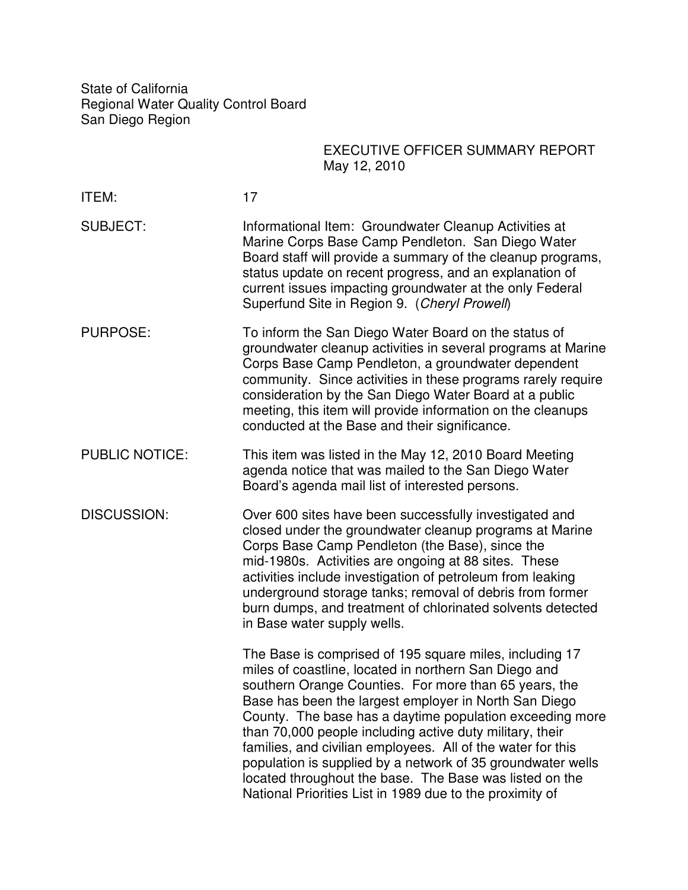State of California Regional Water Quality Control Board San Diego Region

## EXECUTIVE OFFICER SUMMARY REPORT May 12, 2010

| ITEM:                 | 17                                                                                                                                                                                                                                                                                                                                                                                                                                                                                                                                                                                                              |
|-----------------------|-----------------------------------------------------------------------------------------------------------------------------------------------------------------------------------------------------------------------------------------------------------------------------------------------------------------------------------------------------------------------------------------------------------------------------------------------------------------------------------------------------------------------------------------------------------------------------------------------------------------|
| <b>SUBJECT:</b>       | Informational Item: Groundwater Cleanup Activities at<br>Marine Corps Base Camp Pendleton. San Diego Water<br>Board staff will provide a summary of the cleanup programs,<br>status update on recent progress, and an explanation of<br>current issues impacting groundwater at the only Federal<br>Superfund Site in Region 9. (Cheryl Prowell)                                                                                                                                                                                                                                                                |
| <b>PURPOSE:</b>       | To inform the San Diego Water Board on the status of<br>groundwater cleanup activities in several programs at Marine<br>Corps Base Camp Pendleton, a groundwater dependent<br>community. Since activities in these programs rarely require<br>consideration by the San Diego Water Board at a public<br>meeting, this item will provide information on the cleanups<br>conducted at the Base and their significance.                                                                                                                                                                                            |
| <b>PUBLIC NOTICE:</b> | This item was listed in the May 12, 2010 Board Meeting<br>agenda notice that was mailed to the San Diego Water<br>Board's agenda mail list of interested persons.                                                                                                                                                                                                                                                                                                                                                                                                                                               |
| <b>DISCUSSION:</b>    | Over 600 sites have been successfully investigated and<br>closed under the groundwater cleanup programs at Marine<br>Corps Base Camp Pendleton (the Base), since the<br>mid-1980s. Activities are ongoing at 88 sites. These<br>activities include investigation of petroleum from leaking<br>underground storage tanks; removal of debris from former<br>burn dumps, and treatment of chlorinated solvents detected<br>in Base water supply wells.                                                                                                                                                             |
|                       | The Base is comprised of 195 square miles, including 17<br>miles of coastline, located in northern San Diego and<br>southern Orange Counties. For more than 65 years, the<br>Base has been the largest employer in North San Diego<br>County. The base has a daytime population exceeding more<br>than 70,000 people including active duty military, their<br>families, and civilian employees. All of the water for this<br>population is supplied by a network of 35 groundwater wells<br>located throughout the base. The Base was listed on the<br>National Priorities List in 1989 due to the proximity of |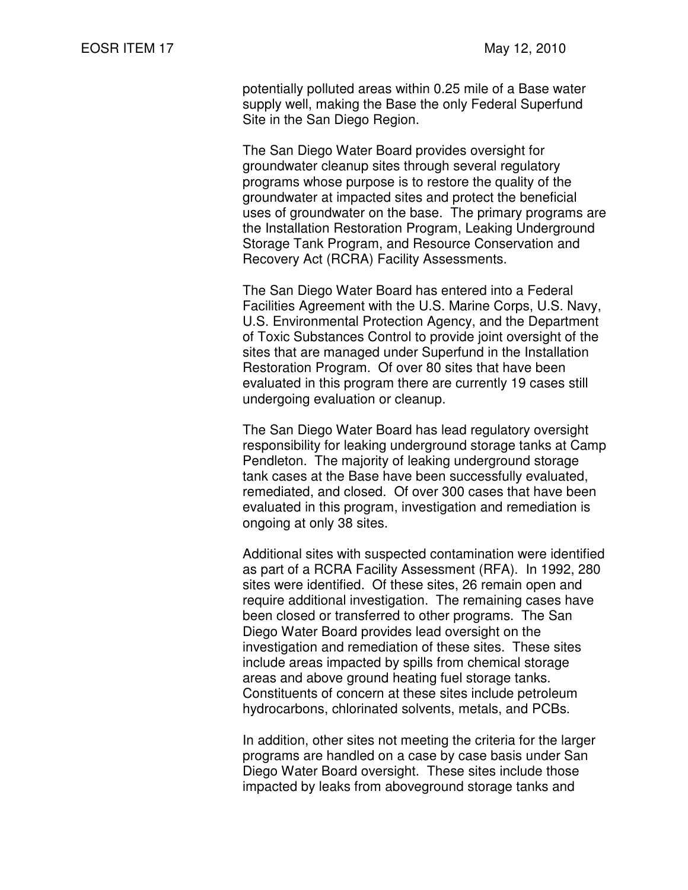potentially polluted areas within 0.25 mile of a Base water supply well, making the Base the only Federal Superfund Site in the San Diego Region.

 The San Diego Water Board provides oversight for groundwater cleanup sites through several regulatory programs whose purpose is to restore the quality of the groundwater at impacted sites and protect the beneficial uses of groundwater on the base. The primary programs are the Installation Restoration Program, Leaking Underground Storage Tank Program, and Resource Conservation and Recovery Act (RCRA) Facility Assessments.

 The San Diego Water Board has entered into a Federal Facilities Agreement with the U.S. Marine Corps, U.S. Navy, U.S. Environmental Protection Agency, and the Department of Toxic Substances Control to provide joint oversight of the sites that are managed under Superfund in the Installation Restoration Program. Of over 80 sites that have been evaluated in this program there are currently 19 cases still undergoing evaluation or cleanup.

The San Diego Water Board has lead regulatory oversight responsibility for leaking underground storage tanks at Camp Pendleton. The majority of leaking underground storage tank cases at the Base have been successfully evaluated, remediated, and closed. Of over 300 cases that have been evaluated in this program, investigation and remediation is ongoing at only 38 sites.

 Additional sites with suspected contamination were identified as part of a RCRA Facility Assessment (RFA). In 1992, 280 sites were identified. Of these sites, 26 remain open and require additional investigation. The remaining cases have been closed or transferred to other programs. The San Diego Water Board provides lead oversight on the investigation and remediation of these sites. These sites include areas impacted by spills from chemical storage areas and above ground heating fuel storage tanks. Constituents of concern at these sites include petroleum hydrocarbons, chlorinated solvents, metals, and PCBs.

 In addition, other sites not meeting the criteria for the larger programs are handled on a case by case basis under San Diego Water Board oversight. These sites include those impacted by leaks from aboveground storage tanks and